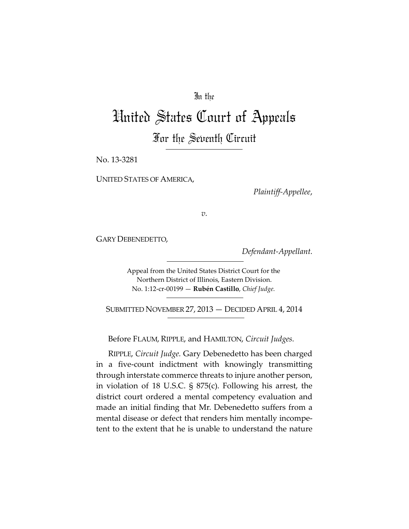## In the

# United States Court of Appeals For the Seventh Circuit

No. 13-3281

UNITED STATES OF AMERICA,

*Plaintiff-Appellee*,

*v.*

GARY DEBENEDETTO,

*Defendant-Appellant.*

Appeal from the United States District Court for the Northern District of Illinois, Eastern Division. No. 1:12-cr-00199 — **Rubén Castillo**, *Chief Judge.*

SUBMITTED NOVEMBER 27, 2013 — DECIDED APRIL 4, 2014

Before FLAUM, RIPPLE, and HAMILTON, *Circuit Judges.*

RIPPLE, *Circuit Judge.* Gary Debenedetto has been charged in a five-count indictment with knowingly transmitting through interstate commerce threats to injure another person, in violation of 18 U.S.C. § 875(c). Following his arrest, the district court ordered a mental competency evaluation and made an initial finding that Mr. Debenedetto suffers from a mental disease or defect that renders him mentally incompetent to the extent that he is unable to understand the nature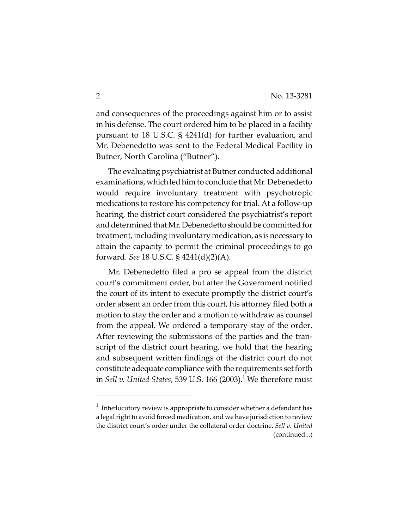and consequences of the proceedings against him or to assist in his defense. The court ordered him to be placed in a facility pursuant to 18 U.S.C. § 4241(d) for further evaluation, and Mr. Debenedetto was sent to the Federal Medical Facility in Butner, North Carolina ("Butner").

The evaluating psychiatrist at Butner conducted additional examinations, which led him to conclude that Mr. Debenedetto would require involuntary treatment with psychotropic medications to restore his competency for trial. At a follow-up hearing, the district court considered the psychiatrist's report and determined that Mr. Debenedetto should be committed for treatment, including involuntary medication, as is necessary to attain the capacity to permit the criminal proceedings to go forward. *See* 18 U.S.C. § 4241(d)(2)(A).

Mr. Debenedetto filed a pro se appeal from the district court's commitment order, but after the Government notified the court of its intent to execute promptly the district court's order absent an order from this court, his attorney filed both a motion to stay the order and a motion to withdraw as counsel from the appeal. We ordered a temporary stay of the order. After reviewing the submissions of the parties and the transcript of the district court hearing, we hold that the hearing and subsequent written findings of the district court do not constitute adequate compliance with the requirements set forth in *Sell v. United States*, 539 U.S. 166 (2003).<sup>1</sup> We therefore must

 $1$  Interlocutory review is appropriate to consider whether a defendant has a legal right to avoid forced medication, and we have jurisdiction to review the district court's order under the collateral order doctrine. *Sell v. United* (continued...)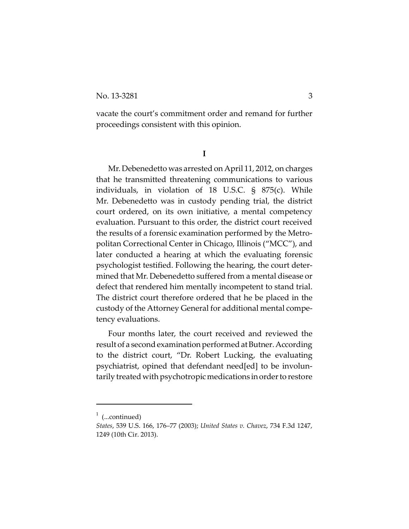vacate the court's commitment order and remand for further proceedings consistent with this opinion.

**I**

Mr. Debenedetto was arrested on April 11, 2012, on charges that he transmitted threatening communications to various individuals, in violation of 18 U.S.C. § 875(c). While Mr. Debenedetto was in custody pending trial, the district court ordered, on its own initiative, a mental competency evaluation. Pursuant to this order, the district court received the results of a forensic examination performed by the Metropolitan Correctional Center in Chicago, Illinois ("MCC"), and later conducted a hearing at which the evaluating forensic psychologist testified. Following the hearing, the court determined that Mr. Debenedetto suffered from a mental disease or defect that rendered him mentally incompetent to stand trial. The district court therefore ordered that he be placed in the custody of the Attorney General for additional mental competency evaluations.

Four months later, the court received and reviewed the result of a second examination performed at Butner.According to the district court, "Dr. Robert Lucking, the evaluating psychiatrist, opined that defendant need[ed] to be involuntarily treated with psychotropic medications inorder to restore

 $1$  (...continued)

*States*, 539 U.S. 166, 176–77 (2003); *United States v. Chavez*, 734 F.3d 1247, 1249 (10th Cir. 2013).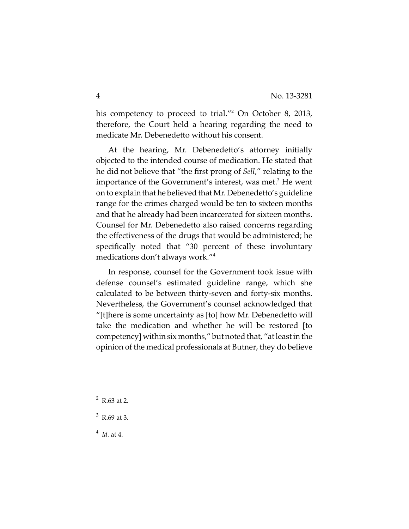his competency to proceed to trial."<sup>2</sup> On October 8, 2013, therefore, the Court held a hearing regarding the need to medicate Mr. Debenedetto without his consent.

At the hearing, Mr. Debenedetto's attorney initially objected to the intended course of medication. He stated that he did not believe that "the first prong of *Sell*," relating to the importance of the Government's interest, was met.<sup>3</sup> He went on to explain that he believed that Mr. Debenedetto's guideline range for the crimes charged would be ten to sixteen months and that he already had been incarcerated for sixteen months. Counsel for Mr. Debenedetto also raised concerns regarding the effectiveness of the drugs that would be administered; he specifically noted that "30 percent of these involuntary medications don't always work."<sup>4</sup>

In response, counsel for the Government took issue with defense counsel's estimated guideline range, which she calculated to be between thirty-seven and forty-six months. Nevertheless, the Government's counsel acknowledged that "[t]here is some uncertainty as [to] how Mr. Debenedetto will take the medication and whether he will be restored [to competency] within six months," but noted that, "at least in the opinion of the medical professionals at Butner, they do believe

 $2$  R.63 at 2.

 $3$  R.69 at 3.

 $<sup>4</sup>$  *Id.* at 4.</sup>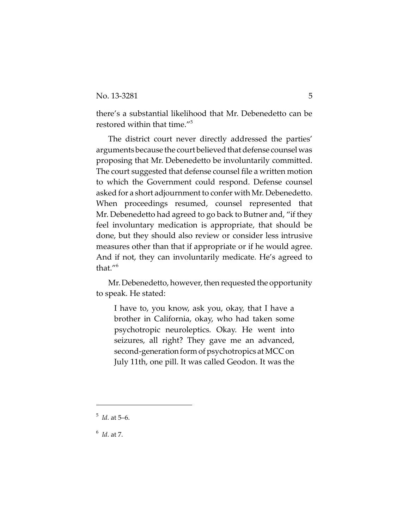there's a substantial likelihood that Mr. Debenedetto can be restored within that time."<sup>5</sup>

The district court never directly addressed the parties' arguments because the court believed that defense counselwas proposing that Mr. Debenedetto be involuntarily committed. The court suggested that defense counsel file a written motion to which the Government could respond. Defense counsel asked for a short adjournment to confer with Mr. Debenedetto. When proceedings resumed, counsel represented that Mr. Debenedetto had agreed to go back to Butner and, "if they feel involuntary medication is appropriate, that should be done, but they should also review or consider less intrusive measures other than that if appropriate or if he would agree. And if not, they can involuntarily medicate. He's agreed to that."<sup>6</sup>

Mr. Debenedetto, however, then requested the opportunity to speak. He stated:

I have to, you know, ask you, okay, that I have a brother in California, okay, who had taken some psychotropic neuroleptics. Okay. He went into seizures, all right? They gave me an advanced, second-generation form of psychotropics at MCC on July 11th, one pill. It was called Geodon. It was the

 $^{5}$  *Id.* at 5–6.

 $6$  *Id.* at 7.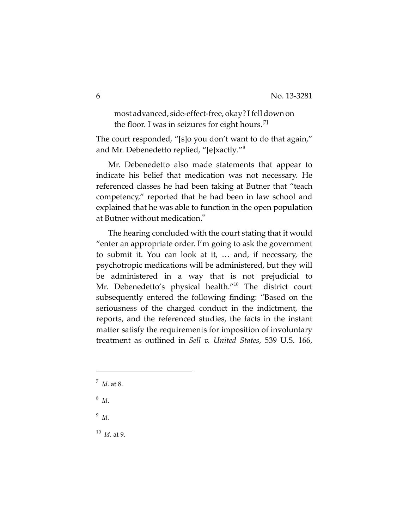most advanced, side-effect-free, okay? I fell down on the floor. I was in seizures for eight hours.<sup>[7]</sup>

The court responded, "[s]o you don't want to do that again," and Mr. Debenedetto replied, "[e]xactly."<sup>8</sup>

Mr. Debenedetto also made statements that appear to indicate his belief that medication was not necessary. He referenced classes he had been taking at Butner that "teach competency," reported that he had been in law school and explained that he was able to function in the open population at Butner without medication.<sup>9</sup>

The hearing concluded with the court stating that it would "enter an appropriate order. I'm going to ask the government to submit it. You can look at it, … and, if necessary, the psychotropic medications will be administered, but they will be administered in a way that is not prejudicial to Mr. Debenedetto's physical health."<sup>10</sup> The district court subsequently entered the following finding: "Based on the seriousness of the charged conduct in the indictment, the reports, and the referenced studies, the facts in the instant matter satisfy the requirements for imposition of involuntary treatment as outlined in *Sell v. United States*, 539 U.S. 166,

<sup>8</sup> Id.

<sup>9</sup> Id.

<sup>10</sup> *Id.* at 9.

 $^7$  Id. at 8.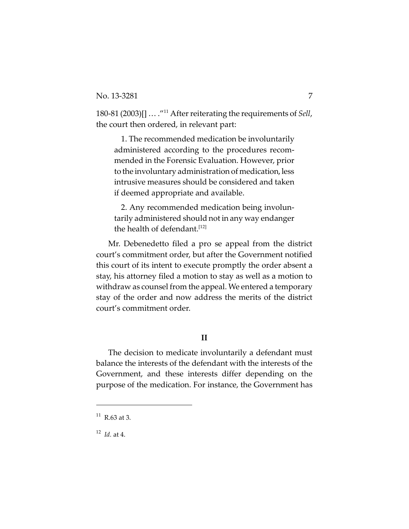180-81 (2003)[] ... ."<sup>11</sup> After reiterating the requirements of *Sell,* the court then ordered, in relevant part:

1. The recommended medication be involuntarily administered according to the procedures recommended in the Forensic Evaluation. However, prior to the involuntary administration of medication, less intrusive measures should be considered and taken if deemed appropriate and available.

2. Any recommended medication being involuntarily administered should not in any way endanger the health of defendant.<sup>[12]</sup>

Mr. Debenedetto filed a pro se appeal from the district court's commitment order, but after the Government notified this court of its intent to execute promptly the order absent a stay, his attorney filed a motion to stay as well as a motion to withdraw as counsel from the appeal. We entered a temporary stay of the order and now address the merits of the district court's commitment order.

## **II**

The decision to medicate involuntarily a defendant must balance the interests of the defendant with the interests of the Government, and these interests differ depending on the purpose of the medication. For instance, the Government has

 $11$  R.63 at 3.

<sup>&</sup>lt;sup>12</sup> *Id.* at 4.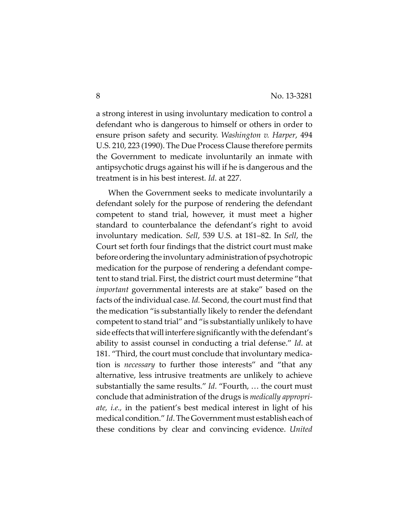a strong interest in using involuntary medication to control a defendant who is dangerous to himself or others in order to ensure prison safety and security. *Washington v. Harper*, 494 U.S. 210, 223 (1990). The Due Process Clause therefore permits the Government to medicate involuntarily an inmate with antipsychotic drugs against his will if he is dangerous and the treatment is in his best interest. *Id*. at 227.

When the Government seeks to medicate involuntarily a defendant solely for the purpose of rendering the defendant competent to stand trial, however, it must meet a higher standard to counterbalance the defendant's right to avoid involuntary medication. *Sell*, 539 U.S. at 181–82. In *Sell*, the Court set forth four findings that the district court must make before ordering the involuntary administration of psychotropic medication for the purpose of rendering a defendant competent to stand trial. First, the district court must determine "that *important* governmental interests are at stake" based on the facts of the individual case. *Id.* Second, the court must find that the medication "is substantially likely to render the defendant competent to stand trial" and "is substantially unlikely to have side effects that willinterfere significantly with the defendant's ability to assist counsel in conducting a trial defense." *Id*. at 181. "Third, the court must conclude that involuntary medication is *necessary* to further those interests" and "that any alternative, less intrusive treatments are unlikely to achieve substantially the same results." *Id*. "Fourth, … the court must conclude that administration of the drugs is *medically appropriate, i.e.,* in the patient's best medical interest in light of his medical condition." *Id*. The Government must establish each of these conditions by clear and convincing evidence. *United*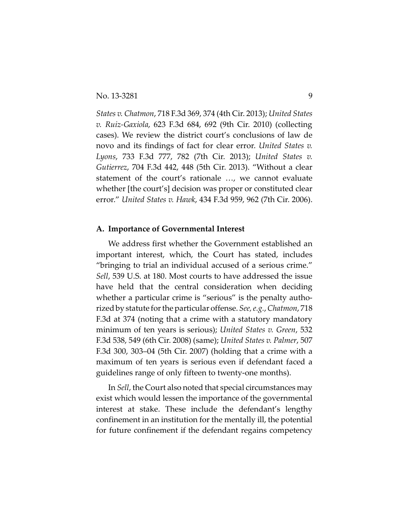*States v. Chatmon*, 718 F.3d 369, 374 (4th Cir. 2013); *United States v. Ruiz-Gaxiola*, 623 F.3d 684, 692 (9th Cir. 2010) (collecting cases). We review the district court's conclusions of law de novo and its findings of fact for clear error. *United States v. Lyons*, 733 F.3d 777, 782 (7th Cir. 2013); *United States v. Gutierrez*, 704 F.3d 442, 448 (5th Cir. 2013). "Without a clear statement of the court's rationale …, we cannot evaluate whether [the court's] decision was proper or constituted clear error." *United States v. Hawk*, 434 F.3d 959, 962 (7th Cir. 2006).

#### **A. Importance of Governmental Interest**

We address first whether the Government established an important interest, which, the Court has stated, includes "bringing to trial an individual accused of a serious crime." *Sell*, 539 U.S. at 180. Most courts to have addressed the issue have held that the central consideration when deciding whether a particular crime is "serious" is the penalty authorized by statute for the particular offense. *See, e.g.*, *Chatmon*, 718 F.3d at 374 (noting that a crime with a statutory mandatory minimum of ten years is serious); *United States v. Green*, 532 F.3d 538, 549 (6th Cir. 2008) (same); *United States v. Palmer*, 507 F.3d 300, 303–04 (5th Cir. 2007) (holding that a crime with a maximum of ten years is serious even if defendant faced a guidelines range of only fifteen to twenty-one months).

In *Sell*, the Court also noted that special circumstances may exist which would lessen the importance of the governmental interest at stake. These include the defendant's lengthy confinement in an institution for the mentally ill, the potential for future confinement if the defendant regains competency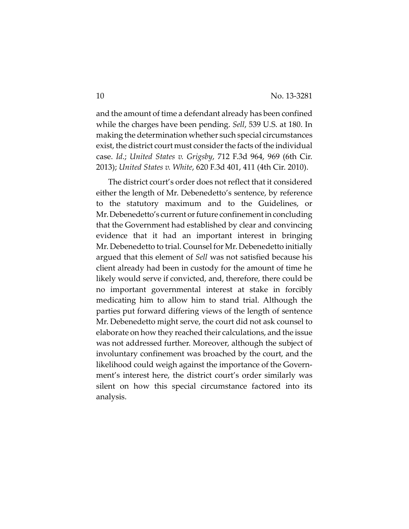and the amount of time a defendant already has been confined while the charges have been pending. *Sell*, 539 U.S. at 180. In making the determination whether such special circumstances exist, the district court must consider the facts of the individual case. *Id*.; *United States v. Grigsby*, 712 F.3d 964, 969 (6th Cir. 2013); *United States v. White*, 620 F.3d 401, 411 (4th Cir. 2010).

The district court's order does not reflect that it considered either the length of Mr. Debenedetto's sentence, by reference to the statutory maximum and to the Guidelines, or Mr. Debenedetto's current or future confinement in concluding that the Government had established by clear and convincing evidence that it had an important interest in bringing Mr. Debenedetto to trial. Counsel for Mr. Debenedetto initially argued that this element of *Sell* was not satisfied because his client already had been in custody for the amount of time he likely would serve if convicted, and, therefore, there could be no important governmental interest at stake in forcibly medicating him to allow him to stand trial. Although the parties put forward differing views of the length of sentence Mr. Debenedetto might serve, the court did not ask counsel to elaborate on how they reached their calculations, and the issue was not addressed further. Moreover, although the subject of involuntary confinement was broached by the court, and the likelihood could weigh against the importance of the Government's interest here, the district court's order similarly was silent on how this special circumstance factored into its analysis.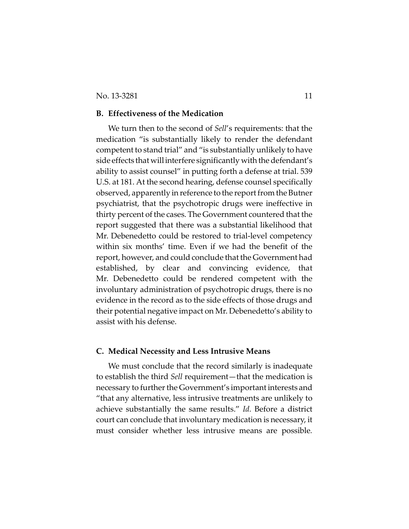### **B. Effectiveness of the Medication**

We turn then to the second of *Sell*'s requirements: that the medication "is substantially likely to render the defendant competent to stand trial" and "is substantially unlikely to have side effects that willinterfere significantly with the defendant's ability to assist counsel" in putting forth a defense at trial. 539 U.S. at 181. At the second hearing, defense counsel specifically observed, apparently in reference to the report from the Butner psychiatrist, that the psychotropic drugs were ineffective in thirty percent of the cases. The Government countered that the report suggested that there was a substantial likelihood that Mr. Debenedetto could be restored to trial-level competency within six months' time. Even if we had the benefit of the report, however, and could conclude that the Government had established, by clear and convincing evidence, that Mr. Debenedetto could be rendered competent with the involuntary administration of psychotropic drugs, there is no evidence in the record as to the side effects of those drugs and their potential negative impact on Mr. Debenedetto's ability to assist with his defense.

#### **C. Medical Necessity and Less Intrusive Means**

We must conclude that the record similarly is inadequate to establish the third *Sell* requirement—that the medication is necessary to further the Government's important interests and "that any alternative, less intrusive treatments are unlikely to achieve substantially the same results." *Id.* Before a district court can conclude that involuntary medication is necessary, it must consider whether less intrusive means are possible*.*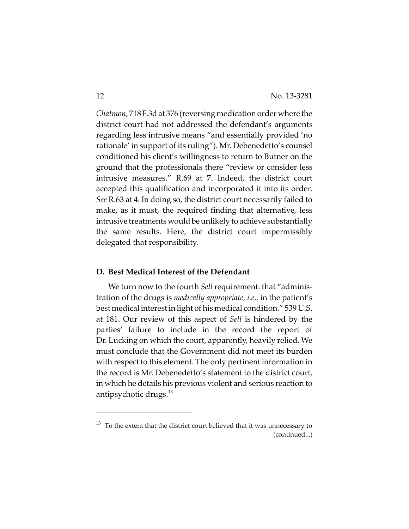*Chatmon*, 718 F.3d at 376 (reversing medication order where the district court had not addressed the defendant's arguments regarding less intrusive means "and essentially provided 'no rationale' in support of its ruling"). Mr. Debenedetto's counsel conditioned his client's willingness to return to Butner on the ground that the professionals there "review or consider less intrusive measures." R.69 at 7. Indeed, the district court accepted this qualification and incorporated it into its order. *See* R.63 at 4. In doing so, the district court necessarily failed to make, as it must, the required finding that alternative, less intrusive treatments would be unlikely to achieve substantially the same results. Here, the district court impermissibly delegated that responsibility.

#### **D. Best Medical Interest of the Defendant**

We turn now to the fourth *Sell* requirement: that "administration of the drugs is *medically appropriate, i.e.,* in the patient's best medical interest in light of his medical condition." 539 U.S. at 181. Our review of this aspect of *Sell* is hindered by the parties' failure to include in the record the report of Dr. Lucking on which the court, apparently, heavily relied. We must conclude that the Government did not meet its burden with respect to this element. The only pertinent information in the record is Mr. Debenedetto's statement to the district court, in which he details his previous violent and serious reaction to antipsychotic drugs.<sup>13</sup>

To the extent that the district court believed that it was unnecessary to 13 (continued...)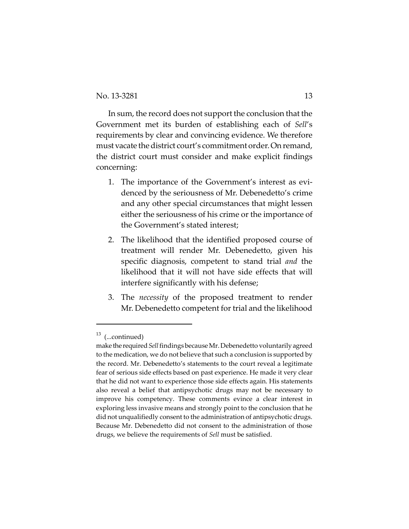In sum, the record does not support the conclusion that the Government met its burden of establishing each of *Sell*'s requirements by clear and convincing evidence. We therefore must vacate the district court's commitment order. On remand, the district court must consider and make explicit findings concerning:

- 1. The importance of the Government's interest as evidenced by the seriousness of Mr. Debenedetto's crime and any other special circumstances that might lessen either the seriousness of his crime or the importance of the Government's stated interest;
- 2. The likelihood that the identified proposed course of treatment will render Mr. Debenedetto, given his specific diagnosis, competent to stand trial *and* the likelihood that it will not have side effects that will interfere significantly with his defense;
- 3. The *necessity* of the proposed treatment to render Mr. Debenedetto competent for trial and the likelihood

 $13$  (...continued)

make the required*Sell*findings because Mr. Debenedetto voluntarilyagreed to the medication, we do not believe that such a conclusion is supported by the record. Mr. Debenedetto's statements to the court reveal a legitimate fear of serious side effects based on past experience. He made it very clear that he did not want to experience those side effects again. His statements also reveal a belief that antipsychotic drugs may not be necessary to improve his competency. These comments evince a clear interest in exploring less invasive means and strongly point to the conclusion that he did not unqualifiedly consent to the administration of antipsychotic drugs. Because Mr. Debenedetto did not consent to the administration of those drugs, we believe the requirements of *Sell* must be satisfied.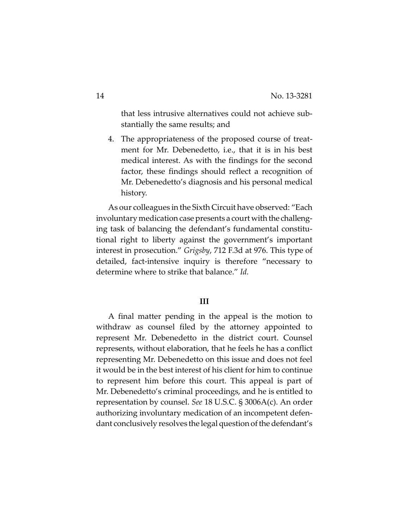that less intrusive alternatives could not achieve substantially the same results; and

4. The appropriateness of the proposed course of treatment for Mr. Debenedetto, i.e., that it is in his best medical interest. As with the findings for the second factor, these findings should reflect a recognition of Mr. Debenedetto's diagnosis and his personal medical history.

As our colleagues in the Sixth Circuit have observed: "Each involuntary medication case presents a court with the challenging task of balancing the defendant's fundamental constitutional right to liberty against the government's important interest in prosecution." *Grigsby*, 712 F.3d at 976. This type of detailed, fact-intensive inquiry is therefore "necessary to determine where to strike that balance." *Id.*

#### **III**

A final matter pending in the appeal is the motion to withdraw as counsel filed by the attorney appointed to represent Mr. Debenedetto in the district court. Counsel represents, without elaboration, that he feels he has a conflict representing Mr. Debenedetto on this issue and does not feel it would be in the best interest of his client for him to continue to represent him before this court. This appeal is part of Mr. Debenedetto's criminal proceedings, and he is entitled to representation by counsel. *See* 18 U.S.C. § 3006A(c). An order authorizing involuntary medication of an incompetent defendant conclusively resolves the legal question of the defendant's